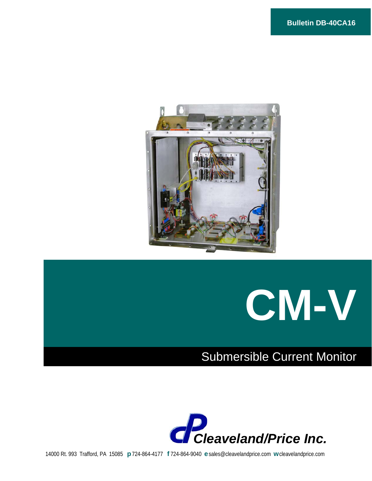



## Submersible Current Monitor



14000 Rt. 993 Trafford, PA 15085 **p** 724-864-4177 **f** 724-864-9040 **e** sales@cleavelandprice.com **w** cleavelandprice.com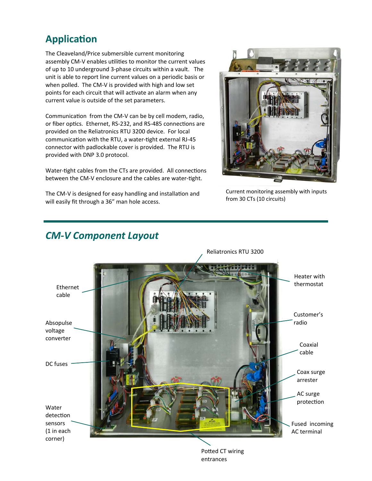## **ApplicaƟon**

The Cleaveland/Price submersible current monitoring assembly CM-V enables utilities to monitor the current values of up to 10 underground 3‐phase circuits within a vault. The unit is able to report line current values on a periodic basis or when polled. The CM-V is provided with high and low set points for each circuit that will activate an alarm when any current value is outside of the set parameters.

Communication from the CM-V can be by cell modem, radio, or fiber optics. Ethernet, RS-232, and RS-485 connections are provided on the Reliatronics RTU 3200 device. For local communication with the RTU, a water-tight external RJ-45 connector with padlockable cover is provided. The RTU is provided with DNP 3.0 protocol.

Water-tight cables from the CTs are provided. All connections between the CM-V enclosure and the cables are water-tight.

The CM-V is designed for easy handling and installation and will easily fit through a 36" man hole access.



Current monitoring assembly with inputs from 30 CTs (10 circuits)



### *CM‐V Component Layout*

Potted CT wiring entrances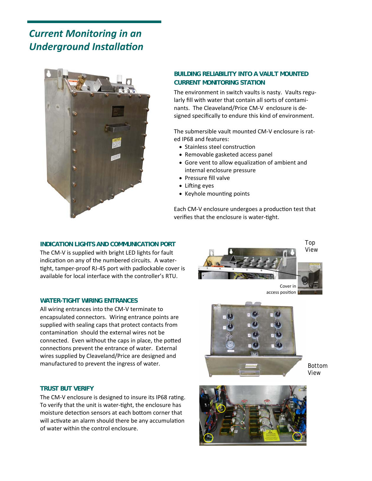## *Current Monitoring in an Underground Installation*



#### **BUILDING RELIABILITY INTO A VAULT MOUNTED CURRENT MONITORING STATION**

The environment in switch vaults is nasty. Vaults regu‐ larly fill with water that contain all sorts of contami‐ nants. The Cleaveland/Price CM‐V enclosure is de‐ signed specifically to endure this kind of environment.

The submersible vault mounted CM‐V enclosure is rat‐ ed IP68 and features:

- Stainless steel construction
- Removable gasketed access panel
- Gore vent to allow equalization of ambient and internal enclosure pressure
- Pressure fill valve
- $\bullet$  Lifting eyes
- Keyhole mounting points

Each CM-V enclosure undergoes a production test that verifies that the enclosure is water-tight.

#### **INDICATION LIGHTS AND COMMUNICATION PORT**

The CM-V is supplied with bright LED lights for fault indication on any of the numbered circuits. A watertight, tamper-proof RJ-45 port with padlockable cover is available for local interface with the controller's RTU.

#### **WATER-TIGHT WIRING ENTRANCES**

All wiring entrances into the CM‐V terminate to encapsulated connectors. Wiring entrance points are supplied with sealing caps that protect contacts from contamination should the external wires not be connected. Even without the caps in place, the potted connections prevent the entrance of water. External wires supplied by Cleaveland/Price are designed and manufactured to prevent the ingress of water.

#### **TRUST BUT VERIFY**

The CM-V enclosure is designed to insure its IP68 rating. To verify that the unit is water-tight, the enclosure has moisture detection sensors at each bottom corner that will activate an alarm should there be any accumulation of water within the control enclosure.